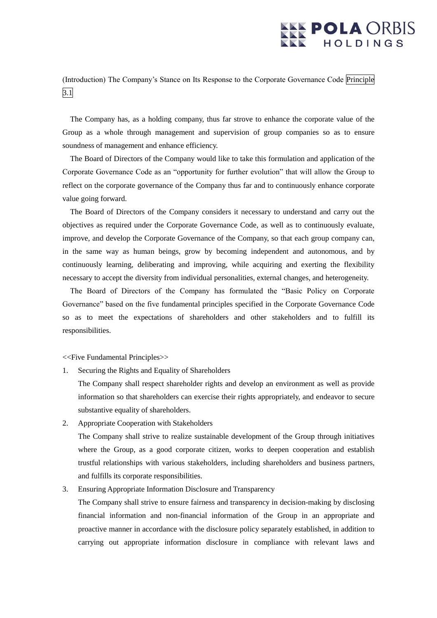## **POLA ORBIS** HOLDINGS

(Introduction) The Company's Stance on Its Response to the Corporate Governance Code Principle  $\overline{3.1}$ 

The Company has, as a holding company, thus far strove to enhance the corporate value of the Group as a whole through management and supervision of group companies so as to ensure soundness of management and enhance efficiency.

The Board of Directors of the Company would like to take this formulation and application of the Corporate Governance Code as an "opportunity for further evolution" that will allow the Group to reflect on the corporate governance of the Company thus far and to continuously enhance corporate value going forward.

The Board of Directors of the Company considers it necessary to understand and carry out the objectives as required under the Corporate Governance Code, as well as to continuously evaluate, improve, and develop the Corporate Governance of the Company, so that each group company can, in the same way as human beings, grow by becoming independent and autonomous, and by continuously learning, deliberating and improving, while acquiring and exerting the flexibility necessary to accept the diversity from individual personalities, external changes, and heterogeneity.

The Board of Directors of the Company has formulated the "Basic Policy on Corporate Governance" based on the five fundamental principles specified in the Corporate Governance Code so as to meet the expectations of shareholders and other stakeholders and to fulfill its responsibilities.

<<Five Fundamental Principles>>

1. Securing the Rights and Equality of Shareholders

The Company shall respect shareholder rights and develop an environment as well as provide information so that shareholders can exercise their rights appropriately, and endeavor to secure substantive equality of shareholders.

2. Appropriate Cooperation with Stakeholders

The Company shall strive to realize sustainable development of the Group through initiatives where the Group, as a good corporate citizen, works to deepen cooperation and establish trustful relationships with various stakeholders, including shareholders and business partners, and fulfills its corporate responsibilities.

3. Ensuring Appropriate Information Disclosure and Transparency

The Company shall strive to ensure fairness and transparency in decision-making by disclosing financial information and non-financial information of the Group in an appropriate and proactive manner in accordance with the disclosure policy separately established, in addition to carrying out appropriate information disclosure in compliance with relevant laws and